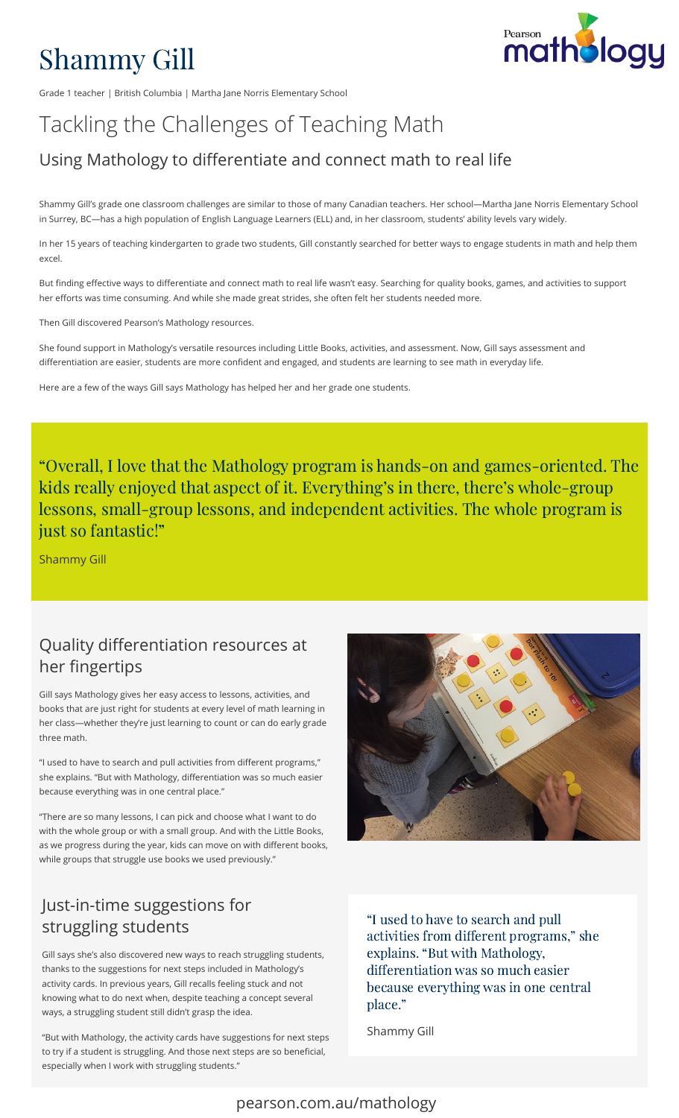# Shammy Gill

Grade 1 teacher | British Columbia | Martha Jane Norris Elementary School

## Tackling the Challenges of Teaching Math

### Using Mathology to differentiate and connect math to real life

Shammy Gill's grade one classroom challenges are similar to those of many Canadian teachers. Her school—Martha Jane Norris Elementary School in Surrey, BC—has a high population of English Language Learners (ELL) and, in her classroom, students' ability levels vary widely.

In her 15 years of teaching kindergarten to grade two students, Gill constantly searched for better ways to engage students in math and help them excel.

But finding effective ways to differentiate and connect math to real life wasn't easy. Searching for quality books, games, and activities to support her efforts was time consuming. And while she made great strides, she often felt her students needed more.

Then Gill discovered Pearson's Mathology resources.

She found support in Mathology's versatile resources including Little Books, activities, and assessment. Now, Gill says assessment and differentiation are easier, students are more confident and engaged, and students are learning to see math in everyday life.

Here are a few of the ways Gill says Mathology has helped her and her grade one students.

"Overall, I love that the Mathology program is hands-on and games-oriented. The kids really enjoyed that aspect of it. Everything's in there, there's whole-group lessons, small-group lessons, and independent activities. The whole program is just so fantastic!"

Shammy Gill

#### Quality differentiation resources at her fingertips

Gill says Mathology gives her easy access to lessons, activities, and books that are just right for students at every level of math learning in her class—whether they're just learning to count or can do early grade three math.

"I used to have to search and pull activities from different programs," she explains. "But with Mathology, differentiation was so much easier because everything was in one central place."

"There are so many lessons, I can pick and choose what I want to do with the whole group or with a small group. And with the Little Books, as we progress during the year, kids can move on with different books, while groups that struggle use books we used previously."

#### Just-in-time suggestions for struggling students

Gill says she's also discovered new ways to reach struggling students, thanks to the suggestions for next steps included in Mathology's activity cards. In previous years, Gill recalls feeling stuck and not knowing what to do next when, despite teaching a concept several ways, a struggling student still didn't grasp the idea.

"But with Mathology, the activity cards have suggestions for next steps to try if a student is struggling. And those next steps are so beneficial, especially when I work with struggling students."



"I used to have to search and pull "I used to have to search and pull<br>activities from different programs." she activities from different progra<br>explains. "But with Mathology, explains. "But with Mathology,<br>differentiation was so much easier because everything was in one central place."

Shammy Gill